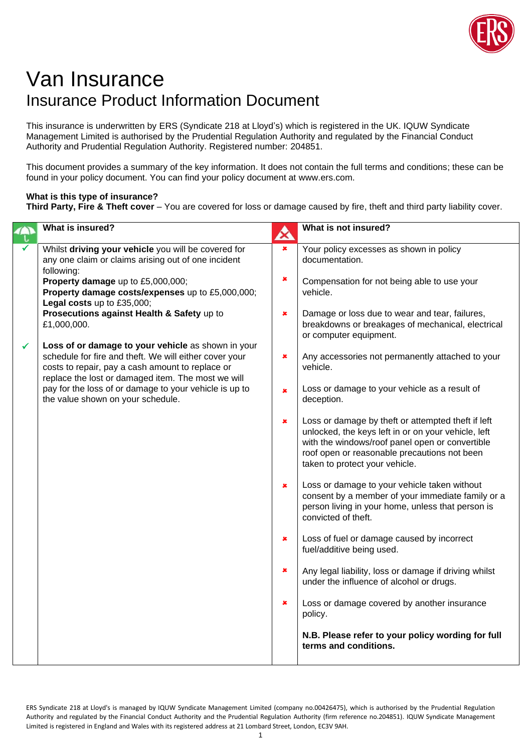

## Van Insurance Insurance Product Information Document

This insurance is underwritten by ERS (Syndicate 218 at Lloyd's) which is registered in the UK. IQUW Syndicate Management Limited is authorised by the Prudential Regulation Authority and regulated by the Financial Conduct Authority and Prudential Regulation Authority. Registered number: 204851.

This document provides a summary of the key information. It does not contain the full terms and conditions; these can be found in your policy document. You can find your policy document at www.ers.com.

## **What is this type of insurance?**

**Third Party, Fire & Theft cover** – You are covered for loss or damage caused by fire, theft and third party liability cover.

|              | What is insured?                                                                                                                                                                                                       | A              | What is not insured?                                                                                                                                                                                                                           |
|--------------|------------------------------------------------------------------------------------------------------------------------------------------------------------------------------------------------------------------------|----------------|------------------------------------------------------------------------------------------------------------------------------------------------------------------------------------------------------------------------------------------------|
|              | Whilst driving your vehicle you will be covered for<br>any one claim or claims arising out of one incident<br>following:                                                                                               | ×              | Your policy excesses as shown in policy<br>documentation.                                                                                                                                                                                      |
|              | Property damage up to £5,000,000;<br>Property damage costs/expenses up to £5,000,000;<br>Legal costs up to £35,000;                                                                                                    | $\pmb{\times}$ | Compensation for not being able to use your<br>vehicle.                                                                                                                                                                                        |
|              | Prosecutions against Health & Safety up to<br>£1,000,000.                                                                                                                                                              | ×              | Damage or loss due to wear and tear, failures,<br>breakdowns or breakages of mechanical, electrical<br>or computer equipment.                                                                                                                  |
| $\checkmark$ | Loss of or damage to your vehicle as shown in your<br>schedule for fire and theft. We will either cover your<br>costs to repair, pay a cash amount to replace or<br>replace the lost or damaged item. The most we will | ×              | Any accessories not permanently attached to your<br>vehicle.                                                                                                                                                                                   |
|              | pay for the loss of or damage to your vehicle is up to<br>the value shown on your schedule.                                                                                                                            | ×              | Loss or damage to your vehicle as a result of<br>deception.                                                                                                                                                                                    |
|              |                                                                                                                                                                                                                        | ×              | Loss or damage by theft or attempted theft if left<br>unlocked, the keys left in or on your vehicle, left<br>with the windows/roof panel open or convertible<br>roof open or reasonable precautions not been<br>taken to protect your vehicle. |
|              |                                                                                                                                                                                                                        | ×              | Loss or damage to your vehicle taken without<br>consent by a member of your immediate family or a<br>person living in your home, unless that person is<br>convicted of theft.                                                                  |
|              |                                                                                                                                                                                                                        | ×              | Loss of fuel or damage caused by incorrect<br>fuel/additive being used.                                                                                                                                                                        |
|              |                                                                                                                                                                                                                        | ×              | Any legal liability, loss or damage if driving whilst<br>under the influence of alcohol or drugs.                                                                                                                                              |
|              |                                                                                                                                                                                                                        | ×              | Loss or damage covered by another insurance<br>policy.                                                                                                                                                                                         |
|              |                                                                                                                                                                                                                        |                | N.B. Please refer to your policy wording for full<br>terms and conditions.                                                                                                                                                                     |

ERS Syndicate 218 at Lloyd's is managed by IQUW Syndicate Management Limited (company no.00426475), which is authorised by the Prudential Regulation Authority and regulated by the Financial Conduct Authority and the Prudential Regulation Authority (firm reference no.204851). IQUW Syndicate Management Limited is registered in England and Wales with its registered address at 21 Lombard Street, London, EC3V 9AH.